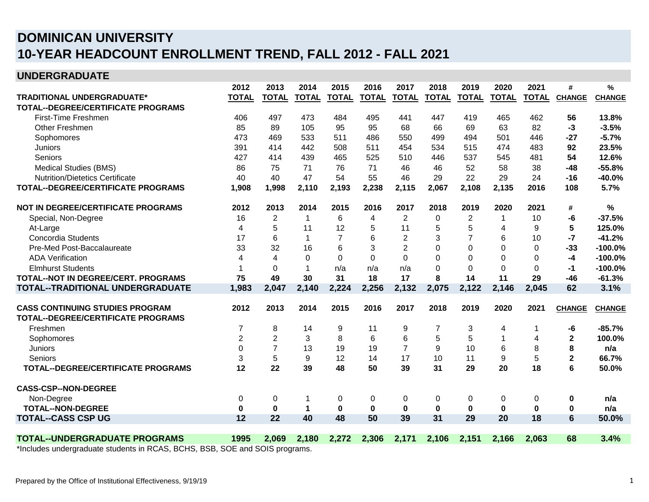## **10-YEAR HEADCOUNT ENROLLMENT TREND, FALL 2012 - FALL 2021 DOMINICAN UNIVERSITY**

## **UNDERGRADUATE**

|                                                                         | 2012           | 2013           | 2014         | 2015           | 2016         | 2017           | 2018         | 2019           | 2020         | 2021         | #             | %             |
|-------------------------------------------------------------------------|----------------|----------------|--------------|----------------|--------------|----------------|--------------|----------------|--------------|--------------|---------------|---------------|
| TRADITIONAL UNDERGRADUATE*                                              | <b>TOTAL</b>   | <b>TOTAL</b>   | <b>TOTAL</b> | <b>TOTAL</b>   | <b>TOTAL</b> | <b>TOTAL</b>   | <b>TOTAL</b> | <b>TOTAL</b>   | <b>TOTAL</b> | <b>TOTAL</b> | <b>CHANGE</b> | <b>CHANGE</b> |
| <b>TOTAL--DEGREE/CERTIFICATE PROGRAMS</b>                               |                |                |              |                |              |                |              |                |              |              |               |               |
| First-Time Freshmen                                                     | 406            | 497            | 473          | 484            | 495          | 441            | 447          | 419            | 465          | 462          | 56            | 13.8%         |
| Other Freshmen                                                          | 85             | 89             | 105          | 95             | 95           | 68             | 66           | 69             | 63           | 82           | $-3$          | $-3.5%$       |
| Sophomores                                                              | 473            | 469            | 533          | 511            | 486          | 550            | 499          | 494            | 501          | 446          | $-27$         | $-5.7%$       |
| Juniors                                                                 | 391            | 414            | 442          | 508            | 511          | 454            | 534          | 515            | 474          | 483          | 92            | 23.5%         |
| Seniors                                                                 | 427            | 414            | 439          | 465            | 525          | 510            | 446          | 537            | 545          | 481          | 54            | 12.6%         |
| Medical Studies (BMS)                                                   | 86             | 75             | 71           | 76             | 71           | 46             | 46           | 52             | 58           | 38           | $-48$         | $-55.8%$      |
| <b>Nutrition/Dietetics Certificate</b>                                  | 40             | 40             | 47           | 54             | 55           | 46             | 29           | 22             | 29           | 24           | $-16$         | $-40.0%$      |
| <b>TOTAL--DEGREE/CERTIFICATE PROGRAMS</b>                               | 1,908          | 1,998          | 2,110        | 2,193          | 2,238        | 2,115          | 2,067        | 2,108          | 2,135        | 2016         | 108           | 5.7%          |
| NOT IN DEGREE/CERTIFICATE PROGRAMS                                      | 2012           | 2013           | 2014         | 2015           | 2016         | 2017           | 2018         | 2019           | 2020         | 2021         | #             | $\frac{0}{0}$ |
| Special, Non-Degree                                                     | 16             | $\overline{2}$ | $\mathbf{1}$ | 6              | 4            | $\overline{2}$ | 0            | $\overline{2}$ | $\mathbf 1$  | 10           | -6            | $-37.5%$      |
| At-Large                                                                | 4              | 5              | 11           | 12             | 5            | 11             | 5            | 5              | 4            | 9            | 5             | 125.0%        |
| Concordia Students                                                      | 17             | 6              | $\mathbf{1}$ | $\overline{7}$ | 6            | $\overline{2}$ | 3            | 7              | 6            | 10           | $-7$          | $-41.2%$      |
| Pre-Med Post-Baccalaureate                                              | 33             | 32             | 16           | 6              | 3            | $\overline{2}$ | $\Omega$     | $\Omega$       | $\Omega$     | $\Omega$     | $-33$         | $-100.0%$     |
| <b>ADA Verification</b>                                                 | $\overline{4}$ | 4              | $\mathbf 0$  | $\Omega$       | $\Omega$     | $\Omega$       | $\Omega$     | $\Omega$       | $\Omega$     | $\Omega$     | $-4$          | $-100.0%$     |
| <b>Elmhurst Students</b>                                                |                | $\Omega$       |              | n/a            | n/a          | n/a            | 0            | $\Omega$       | $\Omega$     | $\Omega$     | $-1$          | $-100.0%$     |
| TOTAL--NOT IN DEGREE/CERT. PROGRAMS                                     | 75             | 49             | 30           | 31             | 18           | 17             | 8            | 14             | 11           | 29           | $-46$         | $-61.3%$      |
| TOTAL--TRADITIONAL UNDERGRADUATE                                        | 1,983          | 2,047          | 2,140        | 2,224          | 2,256        | 2,132          | 2,075        | 2,122          | 2,146        | 2,045        | 62            | 3.1%          |
|                                                                         |                |                |              |                |              |                |              |                |              |              |               |               |
| <b>CASS CONTINUING STUDIES PROGRAM</b>                                  | 2012           | 2013           | 2014         | 2015           | 2016         | 2017           | 2018         | 2019           | 2020         | 2021         | <b>CHANGE</b> | <b>CHANGE</b> |
| <b>TOTAL--DEGREE/CERTIFICATE PROGRAMS</b>                               |                |                |              |                |              |                |              |                |              |              |               |               |
| Freshmen                                                                | 7              | 8              | 14           | 9              | 11           | 9              | 7            | 3              | 4            | 1            | -6            | $-85.7%$      |
| Sophomores                                                              | $\overline{2}$ | $\overline{2}$ | 3            | 8              | 6            | 6              | 5            | 5              |              | 4            | $\mathbf{2}$  | 100.0%        |
| Juniors                                                                 | $\Omega$       | $\overline{7}$ | 13           | 19             | 19           | $\overline{7}$ | 9            | 10             | 6            | 8            | 8             | n/a           |
| Seniors                                                                 | 3              | 5              | 9            | 12             | 14           | 17             | 10           | 11             | 9            | 5            | $\mathbf{2}$  | 66.7%         |
| <b>TOTAL--DEGREE/CERTIFICATE PROGRAMS</b>                               | 12             | 22             | 39           | 48             | 50           | 39             | 31           | 29             | 20           | 18           | 6             | 50.0%         |
| <b>CASS-CSP--NON-DEGREE</b>                                             |                |                |              |                |              |                |              |                |              |              |               |               |
| Non-Degree                                                              | 0              | 0              | -1           | 0              | 0            | 0              | 0            | 0              | 0            | 0            | 0             | n/a           |
| <b>TOTAL--NON-DEGREE</b>                                                | $\bf{0}$       | $\bf{0}$       | 1            | 0              | $\mathbf 0$  | $\bf{0}$       | 0            | $\bf{0}$       | $\bf{0}$     | 0            | 0             | n/a           |
| <b>TOTAL--CASS CSP UG</b>                                               | 12             | 22             | 40           | 48             | 50           | 39             | 31           | 29             | 20           | 18           | 6             | 50.0%         |
|                                                                         |                |                |              |                |              |                |              |                |              |              |               |               |
| <b>TOTAL--UNDERGRADUATE PROGRAMS</b>                                    | 1995           | 2,069          | 2,180        | 2,272          | 2,306        | 2,171          | 2,106        | 2,151          | 2,166        | 2,063        | 68            | 3.4%          |
| *Includes undergraduate students in RCAS RCHS RSB SOF and SOIS programs |                |                |              |                |              |                |              |                |              |              |               |               |

\*Includes undergraduate students in RCAS, BCHS, BSB, SOE and SOIS programs.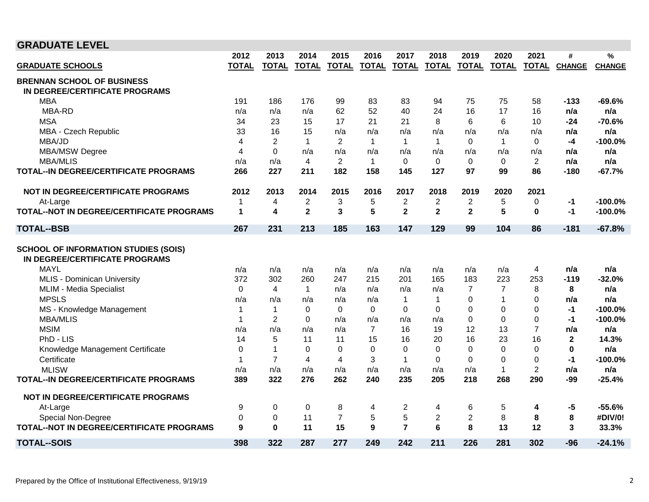| <b>GRADUATE LEVEL</b>                                                         |              |                |                  |                |                |                |                |                  |                |                |              |               |
|-------------------------------------------------------------------------------|--------------|----------------|------------------|----------------|----------------|----------------|----------------|------------------|----------------|----------------|--------------|---------------|
|                                                                               | 2012         | 2013           | 2014             | 2015           | 2016           | 2017           | 2018           | 2019             | 2020           | 2021           | #            | %             |
| <b>GRADUATE SCHOOLS</b>                                                       | <b>TOTAL</b> | <b>TOTAL</b>   | <b>TOTAL</b>     | <b>TOTAL</b>   | <b>TOTAL</b>   | <b>TOTAL</b>   | <b>TOTAL</b>   | <b>TOTAL</b>     | <b>TOTAL</b>   |                | TOTAL CHANGE | <b>CHANGE</b> |
| <b>BRENNAN SCHOOL OF BUSINESS</b>                                             |              |                |                  |                |                |                |                |                  |                |                |              |               |
| IN DEGREE/CERTIFICATE PROGRAMS                                                |              |                |                  |                |                |                |                |                  |                |                |              |               |
| <b>MBA</b>                                                                    | 191          | 186            | 176              | 99             | 83             | 83             | 94             | 75               | 75             | 58             | -133         | $-69.6%$      |
| MBA-RD                                                                        | n/a          | n/a            | n/a              | 62             | 52             | 40             | 24             | 16               | 17             | 16             | n/a          | n/a           |
| <b>MSA</b>                                                                    | 34           | 23             | 15               | 17             | 21             | 21             | 8              | 6                | 6              | 10             | -24          | $-70.6%$      |
| MBA - Czech Republic                                                          | 33           | 16             | 15               | n/a            | n/a            | n/a            | n/a            | n/a              | n/a            | n/a            | n/a          | n/a           |
| MBA/JD                                                                        | 4            | $\overline{2}$ | $\mathbf{1}$     | $\overline{2}$ | $\mathbf{1}$   | $\mathbf{1}$   | $\mathbf{1}$   | $\Omega$         | $\mathbf{1}$   | $\Omega$       | $-4$         | $-100.0%$     |
| <b>MBA/MSW Degree</b>                                                         | 4            | $\Omega$       | n/a              | n/a            | n/a            | n/a            | n/a            | n/a              | n/a            | n/a            | n/a          | n/a           |
| <b>MBA/MLIS</b>                                                               | n/a          | n/a            | 4                | 2              | $\mathbf{1}$   | $\Omega$       | $\Omega$       | $\Omega$         | $\Omega$       | $\overline{2}$ | n/a          | n/a           |
| TOTAL--IN DEGREE/CERTIFICATE PROGRAMS                                         | 266          | 227            | 211              | 182            | 158            | 145            | 127            | 97               | 99             | 86             | $-180$       | $-67.7%$      |
| NOT IN DEGREE/CERTIFICATE PROGRAMS                                            | 2012         | 2013           | 2014             | 2015           | 2016           | 2017           | 2018           | 2019             | 2020           | 2021           |              |               |
| At-Large                                                                      | $\mathbf 1$  | 4              | $\boldsymbol{2}$ | 3              | 5              | 2              | $\overline{2}$ | $\boldsymbol{2}$ | 5              | $\mathbf 0$    | -1           | $-100.0%$     |
| TOTAL--NOT IN DEGREE/CERTIFICATE PROGRAMS                                     | $\mathbf{1}$ | 4              | $\mathbf 2$      | 3              | 5              | $\mathbf{2}$   | $\mathbf{2}$   | $\mathbf{2}$     | 5              | $\bf{0}$       | -1           | $-100.0%$     |
| <b>TOTAL--BSB</b>                                                             | 267          | 231            | 213              | 185            | 163            | 147            | 129            | 99               | 104            | 86             | $-181$       | $-67.8%$      |
| <b>SCHOOL OF INFORMATION STUDIES (SOIS)</b><br>IN DEGREE/CERTIFICATE PROGRAMS |              |                |                  |                |                |                |                |                  |                |                |              |               |
| <b>MAYL</b>                                                                   | n/a          | n/a            | n/a              | n/a            | n/a            | n/a            | n/a            | n/a              | n/a            | 4              | n/a          | n/a           |
| <b>MLIS - Dominican University</b>                                            | 372          | 302            | 260              | 247            | 215            | 201            | 165            | 183              | 223            | 253            | $-119$       | $-32.0%$      |
| MLIM - Media Specialist                                                       | $\mathbf 0$  | $\overline{4}$ | $\mathbf{1}$     | n/a            | n/a            | n/a            | n/a            | $\overline{7}$   | $\overline{7}$ | 8              | 8            | n/a           |
| <b>MPSLS</b>                                                                  | n/a          | n/a            | n/a              | n/a            | n/a            | $\mathbf{1}$   | $\mathbf{1}$   | $\Omega$         | $\overline{1}$ | $\Omega$       | n/a          | n/a           |
| MS - Knowledge Management                                                     | -1           | $\mathbf{1}$   | 0                | 0              | 0              | $\Omega$       | 0              | 0                | 0              | $\Omega$       | -1           | $-100.0%$     |
| <b>MBA/MLIS</b>                                                               | $\mathbf 1$  | 2              | $\Omega$         | n/a            | n/a            | n/a            | n/a            | $\Omega$         | $\Omega$       | $\Omega$       | $-1$         | $-100.0%$     |
| <b>MSIM</b>                                                                   | n/a          | n/a            | n/a              | n/a            | $\overline{7}$ | 16             | 19             | 12               | 13             | $\overline{7}$ | n/a          | n/a           |
| PhD - LIS                                                                     | 14           | 5              | 11               | 11             | 15             | 16             | 20             | 16               | 23             | 16             | $\mathbf{2}$ | 14.3%         |
| Knowledge Management Certificate                                              | $\Omega$     | $\mathbf{1}$   | $\Omega$         | $\Omega$       | $\Omega$       | $\Omega$       | $\Omega$       | $\Omega$         | $\mathbf 0$    | $\Omega$       | $\bf{0}$     | n/a           |
| Certificate                                                                   | -1           | $\overline{7}$ | 4                | 4              | 3              | $\mathbf{1}$   | $\Omega$       | $\Omega$         | $\Omega$       | 0              | -1           | $-100.0%$     |
| <b>MLISW</b>                                                                  | n/a          | n/a            | n/a              | n/a            | n/a            | n/a            | n/a            | n/a              | $\mathbf 1$    | $\overline{2}$ | n/a          | n/a           |
| <b>TOTAL--IN DEGREE/CERTIFICATE PROGRAMS</b>                                  | 389          | 322            | 276              | 262            | 240            | 235            | 205            | 218              | 268            | 290            | $-99$        | $-25.4%$      |
| <b>NOT IN DEGREE/CERTIFICATE PROGRAMS</b>                                     |              |                |                  |                |                |                |                |                  |                |                |              |               |
| At-Large                                                                      | 9            | 0              | 0                | 8              | 4              | 2              | 4              | 6                | 5              | 4              | $-5$         | $-55.6%$      |
| Special Non-Degree                                                            | 0            | $\pmb{0}$      | 11               | $\overline{7}$ | 5              | 5              | $\overline{c}$ | $\overline{2}$   | 8              | 8              | 8            | #DIV/0!       |
| TOTAL--NOT IN DEGREE/CERTIFICATE PROGRAMS                                     | 9            | $\bf{0}$       | 11               | 15             | 9              | $\overline{7}$ | 6              | 8                | 13             | 12             | 3            | 33.3%         |
| <b>TOTAL--SOIS</b>                                                            | 398          | 322            | 287              | 277            | 249            | 242            | 211            | 226              | 281            | 302            | $-96$        | $-24.1%$      |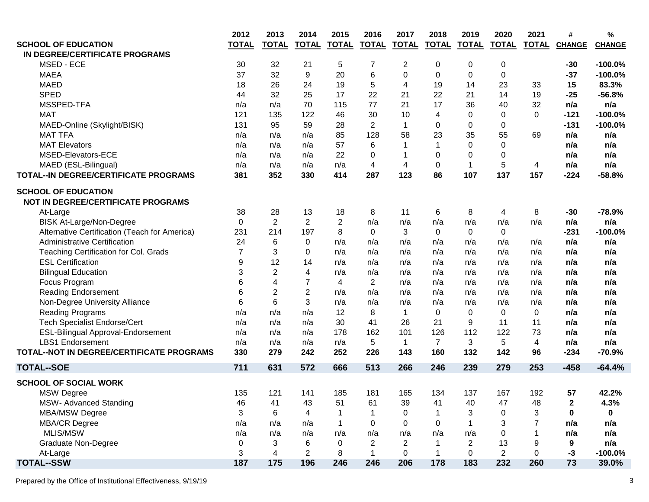|                                               | 2012           | 2013                    | 2014           | 2015           | 2016           | 2017           | 2018           | 2019           | 2020           | 2021         | #             | %             |
|-----------------------------------------------|----------------|-------------------------|----------------|----------------|----------------|----------------|----------------|----------------|----------------|--------------|---------------|---------------|
| <b>SCHOOL OF EDUCATION</b>                    | <b>TOTAL</b>   | <b>TOTAL</b>            | <b>TOTAL</b>   | <b>TOTAL</b>   | <b>TOTAL</b>   | <b>TOTAL</b>   | <b>TOTAL</b>   | <b>TOTAL</b>   | <b>TOTAL</b>   | <b>TOTAL</b> | <b>CHANGE</b> | <b>CHANGE</b> |
| IN DEGREE/CERTIFICATE PROGRAMS                |                |                         |                |                |                |                |                |                |                |              |               |               |
| MSED - ECE                                    | 30             | 32                      | 21             | 5              | 7              | 2              | 0              | 0              | 0              |              | $-30$         | $-100.0%$     |
| <b>MAEA</b>                                   | 37             | 32                      | 9              | 20             | 6              | 0              | 0              | 0              | 0              |              | $-37$         | $-100.0%$     |
| <b>MAED</b>                                   | 18             | 26                      | 24             | 19             | 5              | 4              | 19             | 14             | 23             | 33           | 15            | 83.3%         |
| <b>SPED</b>                                   | 44             | 32                      | 25             | 17             | 22             | 21             | 22             | 21             | 14             | 19           | $-25$         | $-56.8%$      |
| MSSPED-TFA                                    | n/a            | n/a                     | 70             | 115            | 77             | 21             | 17             | 36             | 40             | 32           | n/a           | n/a           |
| <b>MAT</b>                                    | 121            | 135                     | 122            | 46             | 30             | 10             | 4              | 0              | 0              | $\Omega$     | $-121$        | $-100.0%$     |
| MAED-Online (Skylight/BISK)                   | 131            | 95                      | 59             | 28             | $\overline{2}$ | 1              | $\mathbf 0$    | 0              | 0              |              | $-131$        | $-100.0%$     |
| <b>MAT TFA</b>                                | n/a            | n/a                     | n/a            | 85             | 128            | 58             | 23             | 35             | 55             | 69           | n/a           | n/a           |
| <b>MAT Elevators</b>                          | n/a            | n/a                     | n/a            | 57             | 6              | 1              | 1              | 0              | 0              |              | n/a           | n/a           |
| MSED-Elevators-ECE                            | n/a            | n/a                     | n/a            | 22             | 0              | 1              | $\mathbf 0$    | 0              | 0              |              | n/a           | n/a           |
| MAED (ESL-Bilingual)                          | n/a            | n/a                     | n/a            | n/a            | 4              | 4              | $\mathbf 0$    | 1              | 5              | 4            | n/a           | n/a           |
| TOTAL-IN DEGREE/CERTIFICATE PROGRAMS          | 381            | 352                     | 330            | 414            | 287            | 123            | 86             | 107            | 137            | 157          | $-224$        | $-58.8%$      |
| <b>SCHOOL OF EDUCATION</b>                    |                |                         |                |                |                |                |                |                |                |              |               |               |
| <b>NOT IN DEGREE/CERTIFICATE PROGRAMS</b>     |                |                         |                |                |                |                |                |                |                |              |               |               |
| At-Large                                      | 38             | 28                      | 13             | 18             | 8              | 11             | 6              | 8              | 4              | 8            | $-30$         | $-78.9%$      |
| <b>BISK At-Large/Non-Degree</b>               | $\mathbf 0$    | $\overline{2}$          | $\overline{2}$ | $\overline{2}$ | n/a            | n/a            | n/a            | n/a            | n/a            | n/a          | n/a           | n/a           |
| Alternative Certification (Teach for America) | 231            | 214                     | 197            | 8              | $\Omega$       | 3              | $\Omega$       | $\Omega$       | $\Omega$       |              | $-231$        | $-100.0%$     |
| <b>Administrative Certification</b>           | 24             | 6                       | $\mathbf 0$    | n/a            | n/a            | n/a            | n/a            | n/a            | n/a            | n/a          | n/a           | n/a           |
| Teaching Certification for Col. Grads         | $\overline{7}$ | 3                       | $\mathbf{0}$   | n/a            | n/a            | n/a            | n/a            | n/a            | n/a            | n/a          | n/a           | n/a           |
| <b>ESL Certification</b>                      | 9              | 12                      | 14             | n/a            | n/a            | n/a            | n/a            | n/a            | n/a            | n/a          | n/a           | n/a           |
| <b>Bilingual Education</b>                    | 3              | $\overline{2}$          | 4              | n/a            | n/a            | n/a            | n/a            | n/a            | n/a            | n/a          | n/a           | n/a           |
| Focus Program                                 | 6              | $\overline{\mathbf{4}}$ | $\overline{7}$ | 4              | $\overline{2}$ | n/a            | n/a            | n/a            | n/a            | n/a          | n/a           | n/a           |
| <b>Reading Endorsement</b>                    | 6              | $\overline{2}$          | $\overline{2}$ | n/a            | n/a            | n/a            | n/a            | n/a            | n/a            | n/a          | n/a           | n/a           |
| Non-Degree University Alliance                | 6              | 6                       | 3              | n/a            | n/a            | n/a            | n/a            | n/a            | n/a            | n/a          | n/a           | n/a           |
| <b>Reading Programs</b>                       | n/a            | n/a                     | n/a            | 12             | 8              | $\mathbf 1$    | $\mathbf 0$    | $\mathbf 0$    | $\mathbf 0$    | $\mathbf 0$  | n/a           | n/a           |
| <b>Tech Specialist Endorse/Cert</b>           | n/a            | n/a                     | n/a            | 30             | 41             | 26             | 21             | 9              | 11             | 11           | n/a           | n/a           |
| ESL-Bilingual Approval-Endorsement            | n/a            | n/a                     | n/a            | 178            | 162            | 101            | 126            | 112            | 122            | 73           | n/a           | n/a           |
| <b>LBS1</b> Endorsement                       | n/a            | n/a                     | n/a            | n/a            | 5              | $\mathbf{1}$   | $\overline{7}$ | 3              | 5              | 4            | n/a           | n/a           |
| TOTAL--NOT IN DEGREE/CERTIFICATE PROGRAMS     | 330            | 279                     | 242            | 252            | 226            | 143            | 160            | 132            | 142            | 96           | $-234$        | $-70.9%$      |
| <b>TOTAL--SOE</b>                             | 711            | 631                     | 572            | 666            | 513            | 266            | 246            | 239            | 279            | 253          | $-458$        | $-64.4%$      |
| <b>SCHOOL OF SOCIAL WORK</b>                  |                |                         |                |                |                |                |                |                |                |              |               |               |
| <b>MSW Degree</b>                             | 135            | 121                     | 141            | 185            | 181            | 165            | 134            | 137            | 167            | 192          | 57            | 42.2%         |
| MSW- Advanced Standing                        | 46             | 41                      | 43             | 51             | 61             | 39             | 41             | 40             | 47             | 48           | 2             | 4.3%          |
| MBA/MSW Degree                                | 3              | 6                       | 4              |                | 1              | $\Omega$       |                | 3              | 0              | 3            | 0             | $\mathbf{0}$  |
| <b>MBA/CR Degree</b>                          | n/a            | n/a                     | n/a            |                | $\Omega$       | $\Omega$       | $\Omega$       |                | 3              | 7            | n/a           | n/a           |
| MLIS/MSW                                      | n/a            | n/a                     | n/a            | n/a            | n/a            | n/a            | n/a            | n/a            | 0              |              | n/a           | n/a           |
| <b>Graduate Non-Degree</b>                    | 0              | 3                       | 6              | $\Omega$       | $\overline{2}$ | $\overline{2}$ | 1              | $\overline{2}$ | 13             | 9            | 9             | n/a           |
| At-Large                                      | 3              | $\overline{4}$          | $\overline{2}$ | 8              | $\mathbf{1}$   | $\Omega$       | $\mathbf{1}$   | 0              | $\overline{2}$ | $\Omega$     | $-3$          | $-100.0%$     |
| <b>TOTAL--SSW</b>                             | 187            | 175                     | 196            | 246            | 246            | 206            | 178            | 183            | 232            | 260          | 73            | 39.0%         |
|                                               |                |                         |                |                |                |                |                |                |                |              |               |               |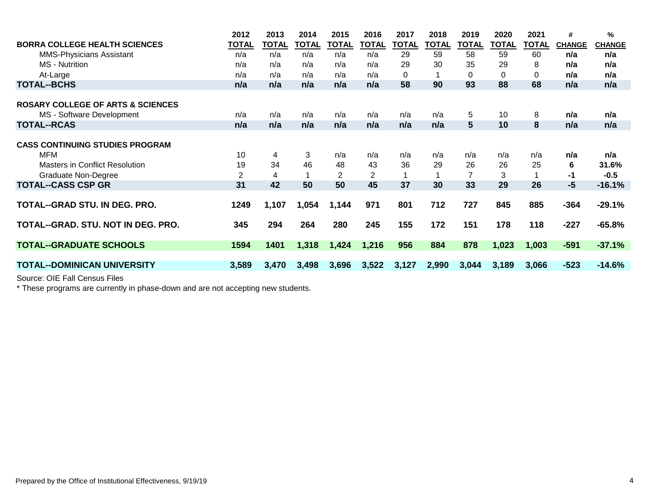|                                              | 2012           | 2013         | 2014  | 2015  | 2016         | 2017  | 2018         | 2019  | 2020  | 2021         | #             | %             |
|----------------------------------------------|----------------|--------------|-------|-------|--------------|-------|--------------|-------|-------|--------------|---------------|---------------|
| <b>BORRA COLLEGE HEALTH SCIENCES</b>         | <b>TOTAL</b>   | <b>TOTAL</b> | TOTAL | TOTAL | <b>TOTAL</b> | TOTAL | <b>TOTAL</b> | TOTAL | TOTAL | <b>TOTAL</b> | <b>CHANGE</b> | <b>CHANGE</b> |
| <b>MMS-Physicians Assistant</b>              | n/a            | n/a          | n/a   | n/a   | n/a          | 29    | 59           | 58    | 59    | 60           | n/a           | n/a           |
| <b>MS</b> - Nutrition                        | n/a            | n/a          | n/a   | n/a   | n/a          | 29    | 30           | 35    | 29    | 8            | n/a           | n/a           |
| At-Large                                     | n/a            | n/a          | n/a   | n/a   | n/a          | 0     |              | 0     | 0     | $\Omega$     | n/a           | n/a           |
| <b>TOTAL--BCHS</b>                           | n/a            | n/a          | n/a   | n/a   | n/a          | 58    | 90           | 93    | 88    | 68           | n/a           | n/a           |
|                                              |                |              |       |       |              |       |              |       |       |              |               |               |
| <b>ROSARY COLLEGE OF ARTS &amp; SCIENCES</b> |                |              |       |       |              |       |              |       |       |              |               |               |
| MS - Software Development                    | n/a            | n/a          | n/a   | n/a   | n/a          | n/a   | n/a          | 5     | 10    | 8            | n/a           | n/a           |
| <b>TOTAL--RCAS</b>                           | n/a            | n/a          | n/a   | n/a   | n/a          | n/a   | n/a          | 5     | 10    | 8            | n/a           | n/a           |
|                                              |                |              |       |       |              |       |              |       |       |              |               |               |
| <b>CASS CONTINUING STUDIES PROGRAM</b>       |                |              |       |       |              |       |              |       |       |              |               |               |
| <b>MFM</b>                                   | 10             | 4            | 3     | n/a   | n/a          | n/a   | n/a          | n/a   | n/a   | n/a          | n/a           | n/a           |
| <b>Masters in Conflict Resolution</b>        | 19             | 34           | 46    | 48    | 43           | 36    | 29           | 26    | 26    | 25           | 6             | 31.6%         |
| <b>Graduate Non-Degree</b>                   | $\overline{2}$ | 4            |       | 2     | 2            |       |              | 7     | 3     |              | -1            | $-0.5$        |
| <b>TOTAL--CASS CSP GR</b>                    | 31             | 42           | 50    | 50    | 45           | 37    | 30           | 33    | 29    | 26           | $-5$          | $-16.1%$      |
|                                              |                |              |       |       |              |       |              |       |       |              |               |               |
| TOTAL--GRAD STU. IN DEG. PRO.                | 1249           | 1,107        | 1,054 | 1,144 | 971          | 801   | 712          | 727   | 845   | 885          | $-364$        | $-29.1%$      |
|                                              |                |              |       |       |              |       |              |       |       |              |               |               |
| TOTAL--GRAD, STU, NOT IN DEG, PRO.           | 345            | 294          | 264   | 280   | 245          | 155   | 172          | 151   | 178   | 118          | $-227$        | $-65.8%$      |
|                                              |                |              |       |       |              |       |              |       |       |              |               |               |
| <b>TOTAL--GRADUATE SCHOOLS</b>               | 1594           | 1401         | 1,318 | 1,424 | 1,216        | 956   | 884          | 878   | 1,023 | 1,003        | $-591$        | $-37.1%$      |
|                                              |                |              |       |       |              |       |              |       |       |              |               |               |
| <b>TOTAL--DOMINICAN UNIVERSITY</b>           | 3,589          | 3,470        | 3,498 | 3,696 | 3,522        | 3,127 | 2,990        | 3,044 | 3,189 | 3,066        | $-523$        | $-14.6%$      |
|                                              |                |              |       |       |              |       |              |       |       |              |               |               |

Source: OIE Fall Census Files

\* These programs are currently in phase-down and are not accepting new students.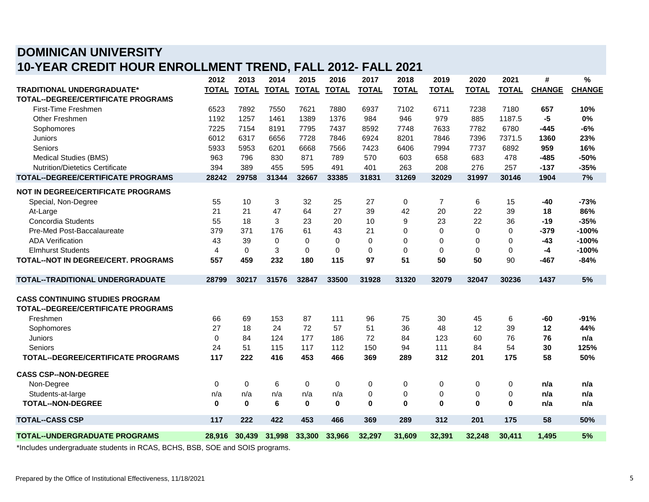## **DOMINICAN UNIVERSITY 10-YEAR CREDIT HOUR ENROLLMENT TREND, FALL 2012- FALL 2021**

|                                                                                                                                                                                                                                                                                                                                                                                      | 2012           | 2013         | 2014         | 2015         | 2016         | 2017         | 2018         | 2019           | 2020         | 2021         | #             | %             |
|--------------------------------------------------------------------------------------------------------------------------------------------------------------------------------------------------------------------------------------------------------------------------------------------------------------------------------------------------------------------------------------|----------------|--------------|--------------|--------------|--------------|--------------|--------------|----------------|--------------|--------------|---------------|---------------|
| <b>TRADITIONAL UNDERGRADUATE*</b>                                                                                                                                                                                                                                                                                                                                                    | <b>TOTAL</b>   | <b>TOTAL</b> | <b>TOTAL</b> | <b>TOTAL</b> | <b>TOTAL</b> | <b>TOTAL</b> | <b>TOTAL</b> | <b>TOTAL</b>   | <b>TOTAL</b> | <b>TOTAL</b> | <b>CHANGE</b> | <b>CHANGE</b> |
| TOTAL--DEGREE/CERTIFICATE PROGRAMS                                                                                                                                                                                                                                                                                                                                                   |                |              |              |              |              |              |              |                |              |              |               |               |
| First-Time Freshmen                                                                                                                                                                                                                                                                                                                                                                  | 6523           | 7892         | 7550         | 7621         | 7880         | 6937         | 7102         | 6711           | 7238         | 7180         | 657           | 10%           |
| <b>Other Freshmen</b>                                                                                                                                                                                                                                                                                                                                                                | 1192           | 1257         | 1461         | 1389         | 1376         | 984          | 946          | 979            | 885          | 1187.5       | -5            | 0%            |
| Sophomores                                                                                                                                                                                                                                                                                                                                                                           | 7225           | 7154         | 8191         | 7795         | 7437         | 8592         | 7748         | 7633           | 7782         | 6780         | -445          | $-6%$         |
| Juniors                                                                                                                                                                                                                                                                                                                                                                              | 6012           | 6317         | 6656         | 7728         | 7846         | 6924         | 8201         | 7846           | 7396         | 7371.5       | 1360          | 23%           |
| Seniors                                                                                                                                                                                                                                                                                                                                                                              | 5933           | 5953         | 6201         | 6668         | 7566         | 7423         | 6406         | 7994           | 7737         | 6892         | 959           | 16%           |
| Medical Studies (BMS)                                                                                                                                                                                                                                                                                                                                                                | 963            | 796          | 830          | 871          | 789          | 570          | 603          | 658            | 683          | 478          | $-485$        | $-50%$        |
| <b>Nutrition/Dietetics Certificate</b>                                                                                                                                                                                                                                                                                                                                               | 394            | 389          | 455          | 595          | 491          | 401          | 263          | 208            | 276          | 257          | $-137$        | $-35%$        |
| TOTAL--DEGREE/CERTIFICATE PROGRAMS                                                                                                                                                                                                                                                                                                                                                   | 28242          | 29758        | 31344        | 32667        | 33385        | 31831        | 31269        | 32029          | 31997        | 30146        | 1904          | 7%            |
|                                                                                                                                                                                                                                                                                                                                                                                      |                |              |              |              |              |              |              |                |              |              |               |               |
| NOT IN DEGREE/CERTIFICATE PROGRAMS                                                                                                                                                                                                                                                                                                                                                   |                |              |              |              |              |              |              |                |              |              |               |               |
| Special, Non-Degree                                                                                                                                                                                                                                                                                                                                                                  | 55             | 10           | 3            | 32           | 25           | 27           | 0            | $\overline{7}$ | 6            | 15           | -40           | -73%          |
| At-Large                                                                                                                                                                                                                                                                                                                                                                             | 21             | 21           | 47           | 64           | 27           | 39           | 42           | 20             | 22           | 39           | 18            | 86%           |
| Concordia Students                                                                                                                                                                                                                                                                                                                                                                   | 55             | 18           | 3            | 23           | 20           | 10           | 9            | 23             | 22           | 36           | $-19$         | $-35%$        |
| Pre-Med Post-Baccalaureate                                                                                                                                                                                                                                                                                                                                                           | 379            | 371          | 176          | 61           | 43           | 21           | $\Omega$     | $\Omega$       | $\Omega$     | $\Omega$     | $-379$        | $-100%$       |
| <b>ADA Verification</b>                                                                                                                                                                                                                                                                                                                                                              | 43             | 39           | 0            | $\Omega$     | $\Omega$     | $\Omega$     | $\Omega$     | 0              | $\Omega$     | $\Omega$     | -43           | $-100%$       |
| <b>Elmhurst Students</b>                                                                                                                                                                                                                                                                                                                                                             | $\overline{4}$ | $\Omega$     | 3            | $\Omega$     | $\Omega$     | $\Omega$     | $\Omega$     | $\Omega$       | $\Omega$     | 0            | -4            | $-100%$       |
| TOTAL--NOT IN DEGREE/CERT. PROGRAMS                                                                                                                                                                                                                                                                                                                                                  | 557            | 459          | 232          | 180          | 115          | 97           | 51           | 50             | 50           | 90           | -467          | $-84%$        |
| TOTAL--TRADITIONAL UNDERGRADUATE                                                                                                                                                                                                                                                                                                                                                     | 28799          | 30217        | 31576        | 32847        | 33500        | 31928        | 31320        | 32079          | 32047        | 30236        | 1437          | 5%            |
| <b>CASS CONTINUING STUDIES PROGRAM</b>                                                                                                                                                                                                                                                                                                                                               |                |              |              |              |              |              |              |                |              |              |               |               |
| <b>TOTAL--DEGREE/CERTIFICATE PROGRAMS</b>                                                                                                                                                                                                                                                                                                                                            |                |              |              |              |              |              |              |                |              |              |               |               |
| Freshmen                                                                                                                                                                                                                                                                                                                                                                             | 66             | 69           | 153          | 87           | 111          | 96           | 75           | 30             | 45           | 6            | -60           | -91%          |
| Sophomores                                                                                                                                                                                                                                                                                                                                                                           | 27             | 18           | 24           | 72           | 57           | 51           | 36           | 48             | 12           | 39           | 12            | 44%           |
| Juniors                                                                                                                                                                                                                                                                                                                                                                              | $\mathbf 0$    | 84           | 124          | 177          | 186          | 72           | 84           | 123            | 60           | 76           | 76            | n/a           |
| Seniors                                                                                                                                                                                                                                                                                                                                                                              | 24             | 51           | 115          | 117          | 112          | 150          | 94           | 111            | 84           | 54           | 30            | 125%          |
| <b>TOTAL--DEGREE/CERTIFICATE PROGRAMS</b>                                                                                                                                                                                                                                                                                                                                            | 117            | 222          | 416          | 453          | 466          | 369          | 289          | 312            | 201          | 175          | 58            | 50%           |
| <b>CASS CSP--NON-DEGREE</b>                                                                                                                                                                                                                                                                                                                                                          |                |              |              |              |              |              |              |                |              |              |               |               |
| Non-Degree                                                                                                                                                                                                                                                                                                                                                                           | $\Omega$       | 0            | 6            | 0            | 0            | 0            | 0            | 0              | 0            | 0            | n/a           | n/a           |
| Students-at-large                                                                                                                                                                                                                                                                                                                                                                    | n/a            | n/a          | n/a          | n/a          | n/a          | $\mathbf 0$  | $\mathbf 0$  | 0              | $\mathbf 0$  | 0            | n/a           | n/a           |
| <b>TOTAL--NON-DEGREE</b>                                                                                                                                                                                                                                                                                                                                                             | $\bf{0}$       | $\bf{0}$     | 6            | $\bf{0}$     | $\bf{0}$     | $\mathbf 0$  | $\bf{0}$     | 0              | $\bf{0}$     | $\bf{0}$     | n/a           | n/a           |
| <b>TOTAL--CASS CSP</b>                                                                                                                                                                                                                                                                                                                                                               | 117            | 222          | 422          | 453          | 466          | 369          | 289          | 312            | 201          | 175          | 58            | 50%           |
| <b>TOTAL--UNDERGRADUATE PROGRAMS</b>                                                                                                                                                                                                                                                                                                                                                 | 28,916         | 30,439       | 31,998       | 33,300       | 33,966       | 32,297       | 31,609       | 32,391         | 32,248       | 30,411       | 1,495         | 5%            |
| $\overline{1}$ $\overline{1}$ $\overline{1}$ $\overline{1}$ $\overline{1}$ $\overline{1}$ $\overline{1}$ $\overline{1}$ $\overline{1}$ $\overline{1}$ $\overline{1}$ $\overline{1}$ $\overline{1}$ $\overline{1}$ $\overline{1}$ $\overline{1}$ $\overline{1}$ $\overline{1}$ $\overline{1}$ $\overline{1}$ $\overline{1}$ $\overline{1}$ $\overline{1}$ $\overline{1}$ $\overline{$ |                |              |              |              |              |              |              |                |              |              |               |               |

\*Includes undergraduate students in RCAS, BCHS, BSB, SOE and SOIS programs.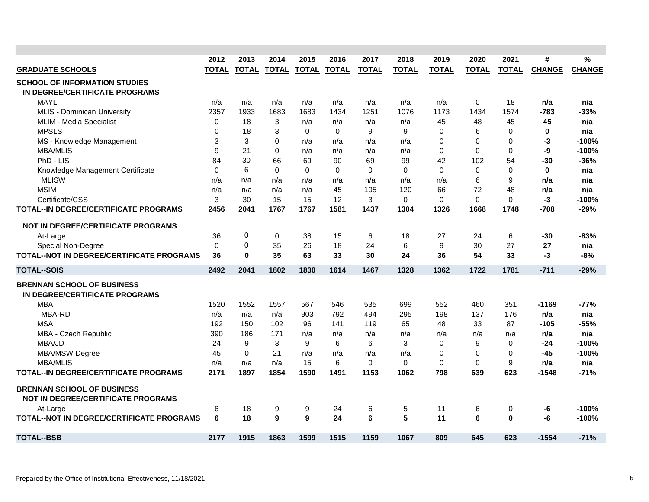| <b>GRADUATE SCHOOLS</b>                                                        | 2012<br><b>TOTAL</b> | 2013<br><b>TOTAL</b> | 2014<br>TOTAL | 2015<br><b>TOTAL</b> | 2016<br><b>TOTAL</b> | 2017<br><b>TOTAL</b> | 2018<br><b>TOTAL</b> | 2019<br><b>TOTAL</b> | 2020<br><b>TOTAL</b> | 2021<br><b>TOTAL</b> | #<br><b>CHANGE</b> | %<br><b>CHANGE</b> |
|--------------------------------------------------------------------------------|----------------------|----------------------|---------------|----------------------|----------------------|----------------------|----------------------|----------------------|----------------------|----------------------|--------------------|--------------------|
| <b>SCHOOL OF INFORMATION STUDIES</b>                                           |                      |                      |               |                      |                      |                      |                      |                      |                      |                      |                    |                    |
| IN DEGREE/CERTIFICATE PROGRAMS                                                 |                      |                      |               |                      |                      |                      |                      |                      |                      |                      |                    |                    |
| MAYL                                                                           | n/a                  | n/a                  | n/a           | n/a                  | n/a                  | n/a                  | n/a                  | n/a                  | 0                    | 18                   | n/a                | n/a                |
| <b>MLIS - Dominican University</b>                                             | 2357                 | 1933                 | 1683          | 1683                 | 1434                 | 1251                 | 1076                 | 1173                 | 1434                 | 1574                 | $-783$             | $-33%$             |
| MLIM - Media Specialist                                                        | 0                    | 18                   | 3             | n/a                  | n/a                  | n/a                  | n/a                  | 45                   | 48                   | 45                   | 45                 | n/a                |
| <b>MPSLS</b>                                                                   | $\mathbf 0$          | 18                   | 3             | $\mathbf{0}$         | $\Omega$             | 9                    | 9                    | 0                    | 6                    | 0                    | $\bf{0}$           | n/a                |
| MS - Knowledge Management                                                      | 3                    | 3                    | $\Omega$      | n/a                  | n/a                  | n/a                  | n/a                  | $\Omega$             | 0                    | 0                    | -3                 | $-100%$            |
| <b>MBA/MLIS</b>                                                                | 9                    | 21                   | $\Omega$      | n/a                  | n/a                  | n/a                  | n/a                  | $\mathbf{0}$         | $\Omega$             | $\Omega$             | -9                 | $-100%$            |
| PhD - LIS                                                                      | 84                   | 30                   | 66            | 69                   | 90                   | 69                   | 99                   | 42                   | 102                  | 54                   | $-30$              | $-36%$             |
| Knowledge Management Certificate                                               | $\mathbf 0$          | 6                    | $\Omega$      | $\Omega$             | $\Omega$             | $\Omega$             | $\mathbf 0$          | $\mathbf 0$          | $\mathbf 0$          | 0                    | $\bf{0}$           | n/a                |
| <b>MLISW</b>                                                                   | n/a                  | n/a                  | n/a           | n/a                  | n/a                  | n/a                  | n/a                  | n/a                  | 6                    | 9                    | n/a                | n/a                |
| <b>MSIM</b>                                                                    | n/a                  | n/a                  | n/a           | n/a                  | 45                   | 105                  | 120                  | 66                   | 72                   | 48                   | n/a                | n/a                |
| Certificate/CSS                                                                | 3                    | 30                   | 15            | 15                   | 12                   | 3                    | $\mathbf 0$          | 0                    | $\Omega$             | 0                    | -3                 | $-100%$            |
| <b>TOTAL--IN DEGREE/CERTIFICATE PROGRAMS</b>                                   | 2456                 | 2041                 | 1767          | 1767                 | 1581                 | 1437                 | 1304                 | 1326                 | 1668                 | 1748                 | $-708$             | $-29%$             |
| NOT IN DEGREE/CERTIFICATE PROGRAMS                                             |                      |                      |               |                      |                      |                      |                      |                      |                      |                      |                    |                    |
| At-Large                                                                       | 36                   | 0                    | $\mathbf 0$   | 38                   | 15                   | 6                    | 18                   | 27                   | 24                   | 6                    | -30                | -83%               |
| Special Non-Degree                                                             | $\Omega$             | 0                    | 35            | 26                   | 18                   | 24                   | 6                    | 9                    | 30                   | 27                   | 27                 | n/a                |
| TOTAL--NOT IN DEGREE/CERTIFICATE PROGRAMS                                      | 36                   | 0                    | 35            | 63                   | 33                   | 30                   | 24                   | 36                   | 54                   | 33                   | -3                 | $-8%$              |
| <b>TOTAL--SOIS</b>                                                             | 2492                 | 2041                 | 1802          | 1830                 | 1614                 | 1467                 | 1328                 | 1362                 | 1722                 | 1781                 | $-711$             | $-29%$             |
| <b>BRENNAN SCHOOL OF BUSINESS</b>                                              |                      |                      |               |                      |                      |                      |                      |                      |                      |                      |                    |                    |
| IN DEGREE/CERTIFICATE PROGRAMS                                                 |                      |                      |               |                      |                      |                      |                      |                      |                      |                      |                    |                    |
| <b>MBA</b>                                                                     | 1520                 | 1552                 | 1557          | 567                  | 546                  | 535                  | 699                  | 552                  | 460                  | 351                  | -1169              | -77%               |
| MBA-RD                                                                         | n/a                  | n/a                  | n/a           | 903                  | 792                  | 494                  | 295                  | 198                  | 137                  | 176                  | n/a                | n/a                |
| <b>MSA</b>                                                                     | 192                  | 150                  | 102           | 96                   | 141                  | 119                  | 65                   | 48                   | 33                   | 87                   | $-105$             | $-55%$             |
| MBA - Czech Republic                                                           | 390                  | 186                  | 171           | n/a                  | n/a                  | n/a                  | n/a                  | n/a                  | n/a                  | n/a                  | n/a                | n/a                |
| MBA/JD                                                                         | 24                   | 9                    | 3             | 9                    | 6                    | 6                    | 3                    | 0                    | 9                    | 0                    | -24                | $-100%$            |
| MBA/MSW Degree                                                                 | 45                   | $\Omega$             | 21            | n/a                  | n/a                  | n/a                  | n/a                  | $\Omega$             | $\Omega$             | 0                    | -45                | $-100%$            |
| <b>MBA/MLIS</b>                                                                | n/a                  | n/a                  | n/a           | 15                   | 6                    | $\Omega$             | $\Omega$             | $\Omega$             | $\Omega$             | 9                    | n/a                | n/a                |
| <b>TOTAL--IN DEGREE/CERTIFICATE PROGRAMS</b>                                   | 2171                 | 1897                 | 1854          | 1590                 | 1491                 | 1153                 | 1062                 | 798                  | 639                  | 623                  | $-1548$            | $-71%$             |
| <b>BRENNAN SCHOOL OF BUSINESS</b><br><b>NOT IN DEGREE/CERTIFICATE PROGRAMS</b> |                      |                      |               |                      |                      |                      |                      |                      |                      |                      |                    |                    |
| At-Large                                                                       | 6                    | 18                   | 9             | 9                    | 24                   | 6                    | 5                    | 11                   | 6                    | 0                    | -6                 | $-100%$            |
| TOTAL--NOT IN DEGREE/CERTIFICATE PROGRAMS                                      | 6                    | 18                   | 9             | 9                    | 24                   | 6                    | 5                    | 11                   | 6                    | $\bf{0}$             | -6                 | $-100%$            |
| <b>TOTAL--BSB</b>                                                              | 2177                 | 1915                 | 1863          | 1599                 | 1515                 | 1159                 | 1067                 | 809                  | 645                  | 623                  | $-1554$            | -71%               |
|                                                                                |                      |                      |               |                      |                      |                      |                      |                      |                      |                      |                    |                    |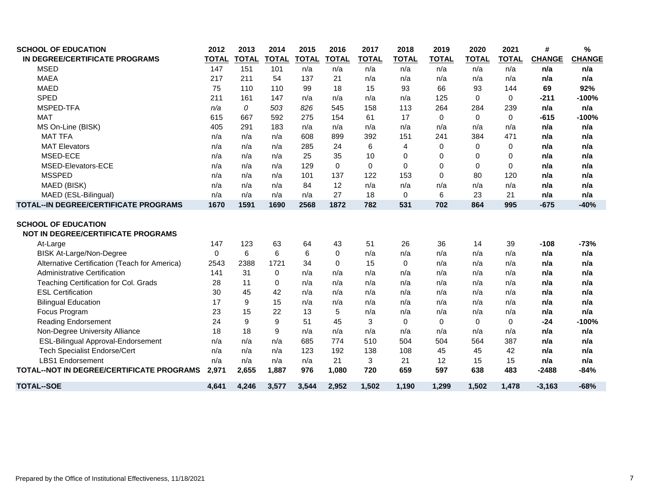| <b>SCHOOL OF EDUCATION</b>                                              | 2012         | 2013         | 2014         | 2015         | 2016         | 2017         | 2018           | 2019         | 2020         | 2021         | #             | %             |
|-------------------------------------------------------------------------|--------------|--------------|--------------|--------------|--------------|--------------|----------------|--------------|--------------|--------------|---------------|---------------|
| IN DEGREE/CERTIFICATE PROGRAMS                                          | <b>TOTAL</b> | <b>TOTAL</b> | <b>TOTAL</b> | <b>TOTAL</b> | <b>TOTAL</b> | <b>TOTAL</b> | <b>TOTAL</b>   | <b>TOTAL</b> | <b>TOTAL</b> | <b>TOTAL</b> | <b>CHANGE</b> | <b>CHANGE</b> |
| <b>MSED</b>                                                             | 147          | 151          | 101          | n/a          | n/a          | n/a          | n/a            | n/a          | n/a          | n/a          | n/a           | n/a           |
| <b>MAEA</b>                                                             | 217          | 211          | 54           | 137          | 21           | n/a          | n/a            | n/a          | n/a          | n/a          | n/a           | n/a           |
| <b>MAED</b>                                                             | 75           | 110          | 110          | 99           | 18           | 15           | 93             | 66           | 93           | 144          | 69            | 92%           |
| <b>SPED</b>                                                             | 211          | 161          | 147          | n/a          | n/a          | n/a          | n/a            | 125          | $\Omega$     | $\Omega$     | $-211$        | $-100%$       |
| MSPED-TFA                                                               | n/a          | 0            | 503          | 826          | 545          | 158          | 113            | 264          | 284          | 239          | n/a           | n/a           |
| <b>MAT</b>                                                              | 615          | 667          | 592          | 275          | 154          | 61           | 17             | $\mathbf 0$  | $\Omega$     | $\mathbf{0}$ | $-615$        | $-100%$       |
| MS On-Line (BISK)                                                       | 405          | 291          | 183          | n/a          | n/a          | n/a          | n/a            | n/a          | n/a          | n/a          | n/a           | n/a           |
| <b>MAT TFA</b>                                                          | n/a          | n/a          | n/a          | 608          | 899          | 392          | 151            | 241          | 384          | 471          | n/a           | n/a           |
| <b>MAT Elevators</b>                                                    | n/a          | n/a          | n/a          | 285          | 24           | 6            | $\overline{4}$ | 0            | $\Omega$     | 0            | n/a           | n/a           |
| MSED-ECE                                                                | n/a          | n/a          | n/a          | 25           | 35           | 10           | 0              | 0            | 0            | 0            | n/a           | n/a           |
| MSED-Elevators-ECE                                                      | n/a          | n/a          | n/a          | 129          | 0            | $\mathbf 0$  | $\Omega$       | 0            | 0            | $\Omega$     | n/a           | n/a           |
| <b>MSSPED</b>                                                           | n/a          | n/a          | n/a          | 101          | 137          | 122          | 153            | 0            | 80           | 120          | n/a           | n/a           |
| MAED (BISK)                                                             | n/a          | n/a          | n/a          | 84           | 12           | n/a          | n/a            | n/a          | n/a          | n/a          | n/a           | n/a           |
| MAED (ESL-Bilingual)                                                    | n/a          | n/a          | n/a          | n/a          | 27           | 18           | 0              | 6            | 23           | 21           | n/a           | n/a           |
| <b>TOTAL--IN DEGREE/CERTIFICATE PROGRAMS</b>                            | 1670         | 1591         | 1690         | 2568         | 1872         | 782          | 531            | 702          | 864          | 995          | $-675$        | $-40%$        |
| <b>SCHOOL OF EDUCATION</b><br><b>NOT IN DEGREE/CERTIFICATE PROGRAMS</b> |              |              |              |              |              |              |                |              |              |              |               |               |
| At-Large                                                                | 147          | 123          | 63           | 64           | 43           | 51           | 26             | 36           | 14           | 39           | $-108$        | -73%          |
| <b>BISK At-Large/Non-Degree</b>                                         | $\Omega$     | 6            | 6            | 6            | 0            | n/a          | n/a            | n/a          | n/a          | n/a          | n/a           | n/a           |
| Alternative Certification (Teach for America)                           | 2543         | 2388         | 1721         | 34           | 0            | 15           | $\Omega$       | n/a          | n/a          | n/a          | n/a           | n/a           |
| Administrative Certification                                            | 141          | 31           | 0            | n/a          | n/a          | n/a          | n/a            | n/a          | n/a          | n/a          | n/a           | n/a           |
| Teaching Certification for Col. Grads                                   | 28           | 11           | 0            | n/a          | n/a          | n/a          | n/a            | n/a          | n/a          | n/a          | n/a           | n/a           |
| <b>ESL Certification</b>                                                | 30           | 45           | 42           | n/a          | n/a          | n/a          | n/a            | n/a          | n/a          | n/a          | n/a           | n/a           |
| <b>Bilingual Education</b>                                              | 17           | 9            | 15           | n/a          | n/a          | n/a          | n/a            | n/a          | n/a          | n/a          | n/a           | n/a           |
| Focus Program                                                           | 23           | 15           | 22           | 13           | 5            | n/a          | n/a            | n/a          | n/a          | n/a          | n/a           | n/a           |
| <b>Reading Endorsement</b>                                              | 24           | 9            | 9            | 51           | 45           | 3            | $\mathbf 0$    | 0            | 0            | 0            | $-24$         | $-100%$       |
| Non-Degree University Alliance                                          | 18           | 18           | 9            | n/a          | n/a          | n/a          | n/a            | n/a          | n/a          | n/a          | n/a           | n/a           |
| ESL-Bilingual Approval-Endorsement                                      | n/a          | n/a          | n/a          | 685          | 774          | 510          | 504            | 504          | 564          | 387          | n/a           | n/a           |
| <b>Tech Specialist Endorse/Cert</b>                                     | n/a          | n/a          | n/a          | 123          | 192          | 138          | 108            | 45           | 45           | 42           | n/a           | n/a           |
| <b>LBS1</b> Endorsement                                                 | n/a          | n/a          | n/a          | n/a          | 21           | 3            | 21             | 12           | 15           | 15           | n/a           | n/a           |
| TOTAL--NOT IN DEGREE/CERTIFICATE PROGRAMS                               | 2,971        | 2,655        | 1,887        | 976          | 1,080        | 720          | 659            | 597          | 638          | 483          | $-2488$       | $-84%$        |
| <b>TOTAL--SOE</b>                                                       | 4.641        | 4,246        | 3,577        | 3,544        | 2.952        | 1.502        | 1.190          | 1,299        | 1,502        | 1,478        | $-3.163$      | $-68%$        |